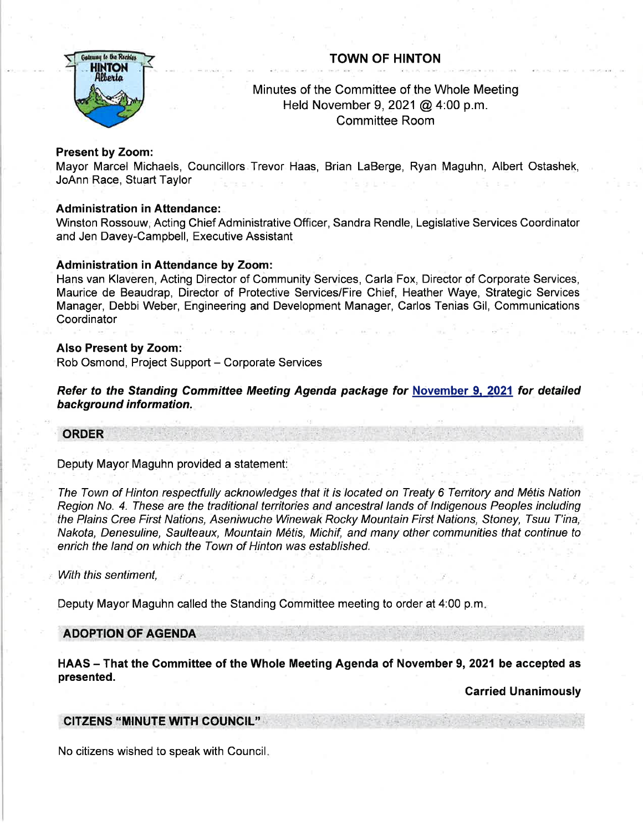# TOWN OF HINTON



# Minutes of the Committee of the Whole Meeting Held November 9,2021 @ 4:00 p.m. Committee Room

# Present by Zoom:

Mayor Marcel Michaels, Councillors Trevor Haas, Brian LaBerge, Ryan Maguhn, Albert Ostashek, JoAnn Race, Stuart Taylor

# Administration in Attendance:

Winston Rossouw, Acting Chief Administrative Officer, Sandra Rendle, Legislative Services Coordinator and Jen Davey-Campbell, Executive Assistant

## Administration in Attendance by Zoom:

Hans van Klaveren, Acting Director of Community Services, Carla Fox, Director of Corporate Services, Maurice de Beaudrap, Director of Protective Services/Fire Chief, Heather Waye, Strategic Services Manager, Debbi Weber, Engineering and Development Manager, Carlos Tenias Gil, Communications **Coordinator** 

#### Also Present by Zoom:

Rob Osmond, Project Support - Corporate Services

Refer to the Standing Committee Meeting Agenda package for November 9. 2021 for detailed background information.

## ORDER

Deputy Mayor Maguhn provided a statement:

The Town of Hinton respectfully acknowledges fhat it is located on Treaty 6 Territory and M6tis Nation Region No. 4. These are the traditional territories and ancestral lands of Indigenous Peoples including the Plains Cree First Nations, Aseniwuche Winewak Rocky Mountain First Nations, Sfoney, Tsuu T'ina, Nakota, Denesuline, Saulteaux, Mountain M6tis, Michif, and many other communities that continue to enrich the land on which the Town of Hinton was established.

With this sentiment,

Deputy Mayor Maguhn called the Standing Committee meeting to order at 4:00 p.m

## ADOPTION'OF AGENDA

HAAS - That the Committee of the Whole Meeting Agenda of November 9, 2021 be accepted as presented.

**Carried Unanimously** 

## CITZENS :'MINUTE WITH COUNCIL"

No citizens wished to speak with Council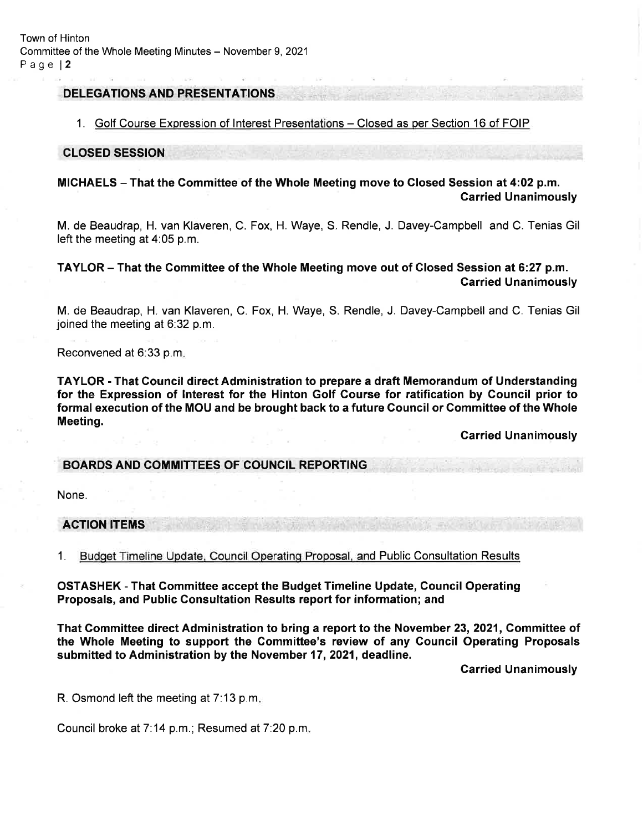## DELEGATIONS AND PRESENTATIONS

#### 1. Golf Course Expression of Interest Presentations - Closed as per Section 16 of FOIP

#### CLOSED SESSION

# MICHAELS - That the Gommittee of the Whole Meeting move to Closed Session at 4:02 p.m. Garried Unanimously

M. de Beaudrap, H. van Klaveren, C. Fox, H. Waye, S. Rendle, J. Davey-Campbell and C. Tenias Gil left the meeting at 4:05 p.m.

# TAYLOR - That the Gommittee of the Whole Meeting move out of Glosed Session at 6:27 p.m. Carried Unanimously

M. de Beaudrap, H. van Klaveren, C. Fox, H. Waye, S. Rendle, J. Davey-Campbell and C. Tenias Gil joined the meeting at 6:32 p.m.

Reconvened at 6:33 p.m

TAYLOR - That Council direct Administration to prepare a draft Memorandum of Understanding for the Expression of lnterest for the Hinton Golf Course for ratification by Council prior to formal execution of the MOU and be brought back to a future Council or Committee of the Whole Meeting.

**Carried Unanimously** 

#### BOARDS AND COMMITTEES OF COUNCIL REPORTING

None.

#### ACTION ITEMS

1. Budoet Timeline Update, Council Operatinq Proposal. and Public Consultation Results

OSTASHEK - That Gommittee accept the Budget Timeline Update, Council Operating Proposals, and Public Consultation Results report for information; and

That Committee direct Administration to bring a report to the November 23,2021, Gommittee of the Whole Meeting to support the Gommittee's review of any Gouncil Operating Proposals submitted to Administration by the November 17,2021, deadline.

Carried Unanimously

R. Osmond left the meeting at 7:13 p.m

Council broke at 7:14 p.m.; Resumed at 7:20 p.m.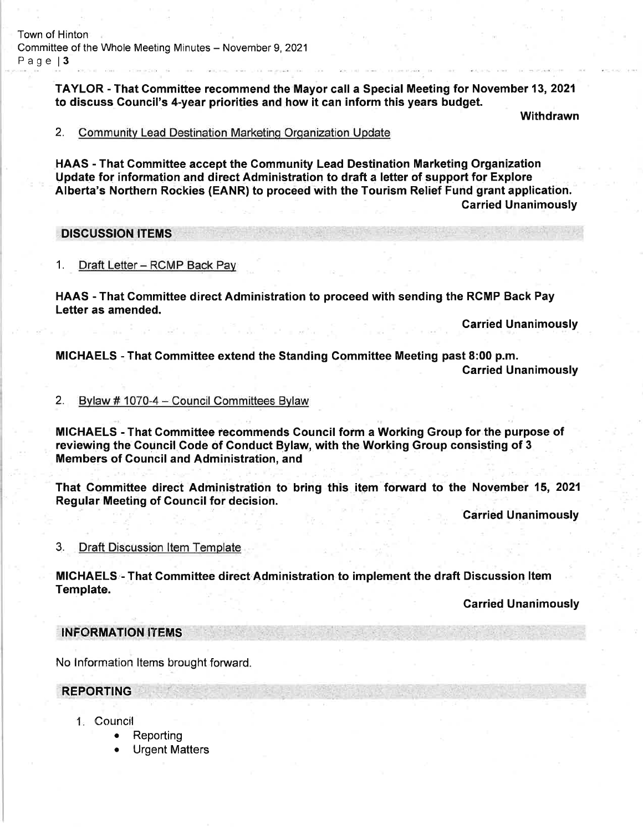TAYLOR - That Commiftee recommend the Mayor call a Special Meeting for November 13,2021 to discuss Council's 4-year priorities and how it can inform this years budget.

Withdrawn

2. Community Lead Destination Marketing Organization Update

HAAS - That Gommittee accept the Gommunity Lead Destination Marketing Organization Update for information and direct Administration to draft a letter of support for Explore Alberta's Northern Rockies (EANR) to proceed with the Tourism Relief Fund grant application. Garried Unanimously

DISCUSSION ITEMS

1. Draft Letter - RCMP Back Pay

HAAS - That Gommittee direct Administration to proceed with sending the RGMP Back Pay Letter as amended.

Garried Unanimously

MICHAELS - That Committee extend the Standing Committee Meeting past 8:00 p.m. Carried Unanimously

### 2. Bvlaw # 1070-4 - Council Committees Bvlaw

MICHAELS - That Gommittee recomrnends Gouncil form a Working Group for the purpose of reviewing the Gouncil Gode of Gonduct Bylaw, with the Working Group consisting of 3 Members of Gouncil and Administration, and

That Committee direct Administration to bring this item forward to the November 15, 2021 Regular Meeting of Council for decision.

**Carried Unanimously** 

3 Draft Discussion ltem Template

MICHAELS - That Committee direct Administration to implement the draft Discussion Item<br>Template.

**Carried Unanimously** 

INFORMATION ITEMS

No lnformation ltems brought forward.

#### REPORTING

- Council
	- . Reporting
	- . Urgent Matters